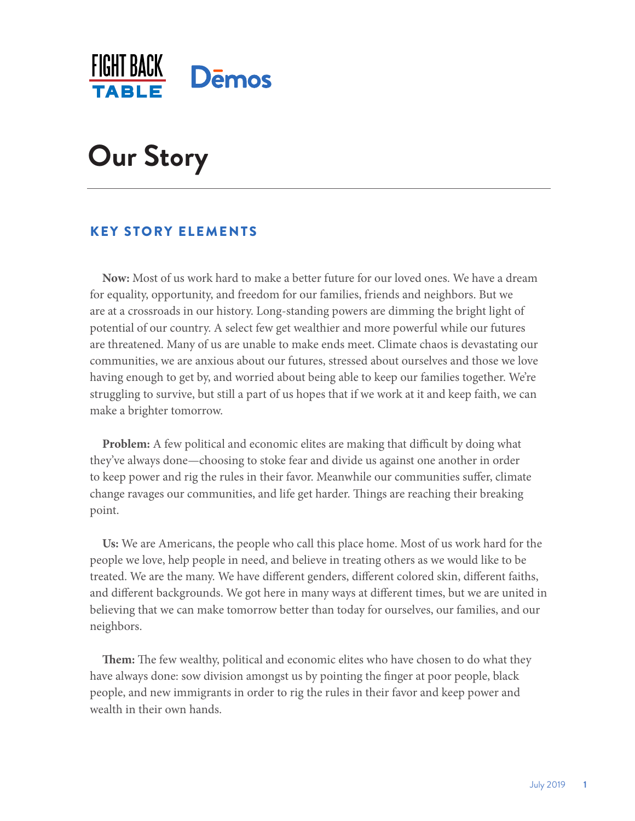

# **Our Story**

## KEY STORY ELEMENTS

**Now:** Most of us work hard to make a better future for our loved ones. We have a dream for equality, opportunity, and freedom for our families, friends and neighbors. But we are at a crossroads in our history. Long-standing powers are dimming the bright light of potential of our country. A select few get wealthier and more powerful while our futures are threatened. Many of us are unable to make ends meet. Climate chaos is devastating our communities, we are anxious about our futures, stressed about ourselves and those we love having enough to get by, and worried about being able to keep our families together. We're struggling to survive, but still a part of us hopes that if we work at it and keep faith, we can make a brighter tomorrow.

**Problem:** A few political and economic elites are making that difficult by doing what they've always done—choosing to stoke fear and divide us against one another in order to keep power and rig the rules in their favor. Meanwhile our communities suffer, climate change ravages our communities, and life get harder. Things are reaching their breaking point.

**Us:** We are Americans, the people who call this place home. Most of us work hard for the people we love, help people in need, and believe in treating others as we would like to be treated. We are the many. We have different genders, different colored skin, different faiths, and different backgrounds. We got here in many ways at different times, but we are united in believing that we can make tomorrow better than today for ourselves, our families, and our neighbors.

**Them:** The few wealthy, political and economic elites who have chosen to do what they have always done: sow division amongst us by pointing the finger at poor people, black people, and new immigrants in order to rig the rules in their favor and keep power and wealth in their own hands.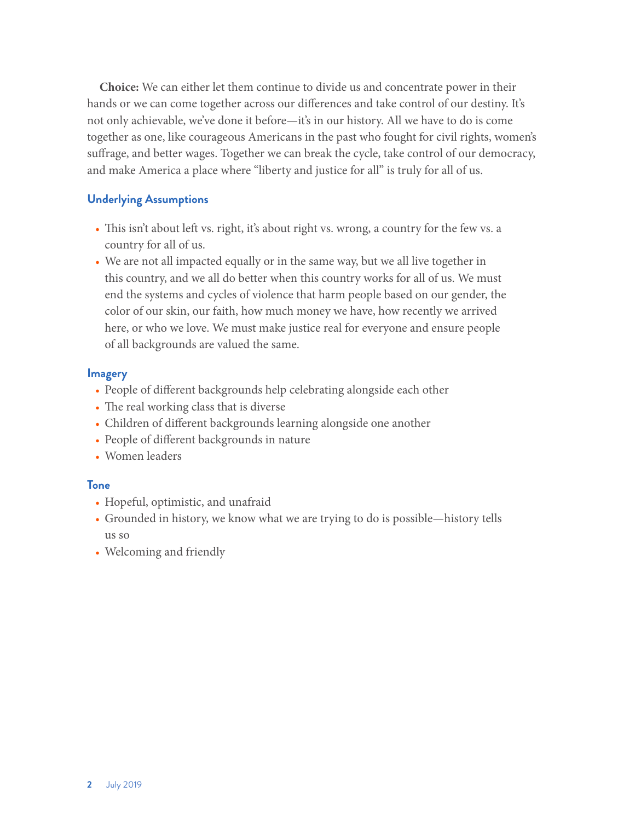**Choice:** We can either let them continue to divide us and concentrate power in their hands or we can come together across our differences and take control of our destiny. It's not only achievable, we've done it before—it's in our history. All we have to do is come together as one, like courageous Americans in the past who fought for civil rights, women's suffrage, and better wages. Together we can break the cycle, take control of our democracy, and make America a place where "liberty and justice for all" is truly for all of us.

## **Underlying Assumptions**

- This isn't about left vs. right, it's about right vs. wrong, a country for the few vs. a country for all of us.
- We are not all impacted equally or in the same way, but we all live together in this country, and we all do better when this country works for all of us. We must end the systems and cycles of violence that harm people based on our gender, the color of our skin, our faith, how much money we have, how recently we arrived here, or who we love. We must make justice real for everyone and ensure people of all backgrounds are valued the same.

#### **Imagery**

- People of different backgrounds help celebrating alongside each other
- The real working class that is diverse
- Children of different backgrounds learning alongside one another
- People of different backgrounds in nature
- Women leaders

#### **Tone**

- Hopeful, optimistic, and unafraid
- Grounded in history, we know what we are trying to do is possible—history tells us so
- Welcoming and friendly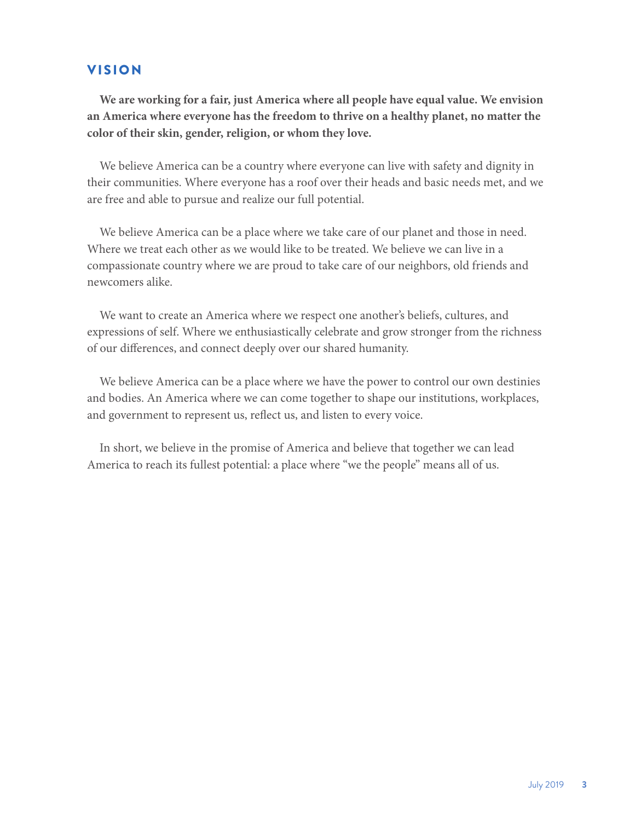## VISION

**We are working for a fair, just America where all people have equal value. We envision an America where everyone has the freedom to thrive on a healthy planet, no matter the color of their skin, gender, religion, or whom they love.**

We believe America can be a country where everyone can live with safety and dignity in their communities. Where everyone has a roof over their heads and basic needs met, and we are free and able to pursue and realize our full potential.

We believe America can be a place where we take care of our planet and those in need. Where we treat each other as we would like to be treated. We believe we can live in a compassionate country where we are proud to take care of our neighbors, old friends and newcomers alike.

We want to create an America where we respect one another's beliefs, cultures, and expressions of self. Where we enthusiastically celebrate and grow stronger from the richness of our differences, and connect deeply over our shared humanity.

We believe America can be a place where we have the power to control our own destinies and bodies. An America where we can come together to shape our institutions, workplaces, and government to represent us, reflect us, and listen to every voice.

In short, we believe in the promise of America and believe that together we can lead America to reach its fullest potential: a place where "we the people" means all of us.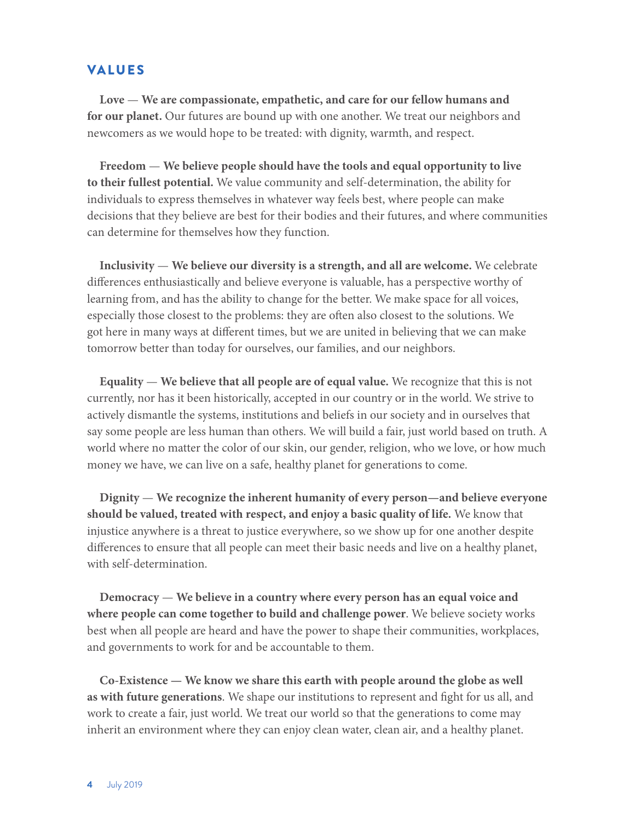## VALUES

**Love** — **We are compassionate, empathetic, and care for our fellow humans and for our planet.** Our futures are bound up with one another. We treat our neighbors and newcomers as we would hope to be treated: with dignity, warmth, and respect.

**Freedom** — **We believe people should have the tools and equal opportunity to live to their fullest potential.** We value community and self-determination, the ability for individuals to express themselves in whatever way feels best, where people can make decisions that they believe are best for their bodies and their futures, and where communities can determine for themselves how they function.

**Inclusivity** — **We believe our diversity is a strength, and all are welcome.** We celebrate differences enthusiastically and believe everyone is valuable, has a perspective worthy of learning from, and has the ability to change for the better. We make space for all voices, especially those closest to the problems: they are often also closest to the solutions. We got here in many ways at different times, but we are united in believing that we can make tomorrow better than today for ourselves, our families, and our neighbors.

**Equality** — **We believe that all people are of equal value.** We recognize that this is not currently, nor has it been historically, accepted in our country or in the world. We strive to actively dismantle the systems, institutions and beliefs in our society and in ourselves that say some people are less human than others. We will build a fair, just world based on truth. A world where no matter the color of our skin, our gender, religion, who we love, or how much money we have, we can live on a safe, healthy planet for generations to come.

**Dignity** — **We recognize the inherent humanity of every person—and believe everyone should be valued, treated with respect, and enjoy a basic quality of life.** We know that injustice anywhere is a threat to justice everywhere, so we show up for one another despite differences to ensure that all people can meet their basic needs and live on a healthy planet, with self-determination.

**Democracy** — **We believe in a country where every person has an equal voice and where people can come together to build and challenge power**. We believe society works best when all people are heard and have the power to shape their communities, workplaces, and governments to work for and be accountable to them.

**Co-Existence — We know we share this earth with people around the globe as well as with future generations**. We shape our institutions to represent and fight for us all, and work to create a fair, just world. We treat our world so that the generations to come may inherit an environment where they can enjoy clean water, clean air, and a healthy planet.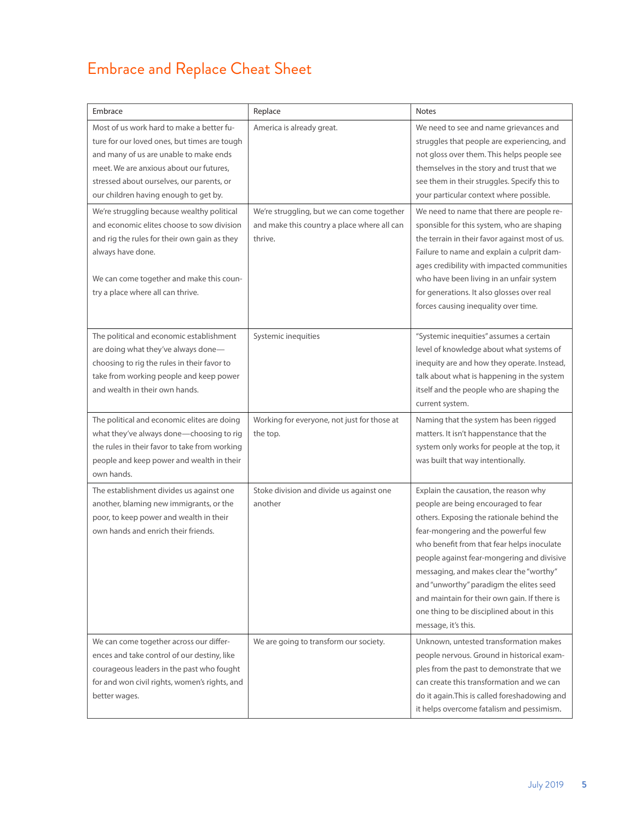## Embrace and Replace Cheat Sheet

| Embrace                                                                                                                                                                                                                                                                                                                                                                                                                                                                                                                | Replace                                                                                                                           | <b>Notes</b>                                                                                                                                                                                                                                                                                                                                                                                                                                                                                                                                                                                                                                           |
|------------------------------------------------------------------------------------------------------------------------------------------------------------------------------------------------------------------------------------------------------------------------------------------------------------------------------------------------------------------------------------------------------------------------------------------------------------------------------------------------------------------------|-----------------------------------------------------------------------------------------------------------------------------------|--------------------------------------------------------------------------------------------------------------------------------------------------------------------------------------------------------------------------------------------------------------------------------------------------------------------------------------------------------------------------------------------------------------------------------------------------------------------------------------------------------------------------------------------------------------------------------------------------------------------------------------------------------|
| Most of us work hard to make a better fu-<br>ture for our loved ones, but times are tough<br>and many of us are unable to make ends<br>meet. We are anxious about our futures,<br>stressed about ourselves, our parents, or<br>our children having enough to get by.<br>We're struggling because wealthy political<br>and economic elites choose to sow division<br>and rig the rules for their own gain as they<br>always have done.<br>We can come together and make this coun-<br>try a place where all can thrive. | America is already great.<br>We're struggling, but we can come together<br>and make this country a place where all can<br>thrive. | We need to see and name grievances and<br>struggles that people are experiencing, and<br>not gloss over them. This helps people see<br>themselves in the story and trust that we<br>see them in their struggles. Specify this to<br>your particular context where possible.<br>We need to name that there are people re-<br>sponsible for this system, who are shaping<br>the terrain in their favor against most of us.<br>Failure to name and explain a culprit dam-<br>ages credibility with impacted communities<br>who have been living in an unfair system<br>for generations. It also glosses over real<br>forces causing inequality over time. |
| The political and economic establishment<br>are doing what they've always done-<br>choosing to rig the rules in their favor to<br>take from working people and keep power<br>and wealth in their own hands.                                                                                                                                                                                                                                                                                                            | Systemic inequities                                                                                                               | "Systemic inequities" assumes a certain<br>level of knowledge about what systems of<br>inequity are and how they operate. Instead,<br>talk about what is happening in the system<br>itself and the people who are shaping the<br>current system.                                                                                                                                                                                                                                                                                                                                                                                                       |
| The political and economic elites are doing<br>what they've always done-choosing to rig<br>the rules in their favor to take from working<br>people and keep power and wealth in their<br>own hands.                                                                                                                                                                                                                                                                                                                    | Working for everyone, not just for those at<br>the top.                                                                           | Naming that the system has been rigged<br>matters. It isn't happenstance that the<br>system only works for people at the top, it<br>was built that way intentionally.                                                                                                                                                                                                                                                                                                                                                                                                                                                                                  |
| The establishment divides us against one<br>another, blaming new immigrants, or the<br>poor, to keep power and wealth in their<br>own hands and enrich their friends.                                                                                                                                                                                                                                                                                                                                                  | Stoke division and divide us against one<br>another                                                                               | Explain the causation, the reason why<br>people are being encouraged to fear<br>others. Exposing the rationale behind the<br>fear-mongering and the powerful few<br>who benefit from that fear helps inoculate<br>people against fear-mongering and divisive<br>messaging, and makes clear the "worthy"<br>and "unworthy" paradigm the elites seed<br>and maintain for their own gain. If there is<br>one thing to be disciplined about in this<br>message, it's this.                                                                                                                                                                                 |
| We can come together across our differ-<br>ences and take control of our destiny, like<br>courageous leaders in the past who fought<br>for and won civil rights, women's rights, and<br>better wages.                                                                                                                                                                                                                                                                                                                  | We are going to transform our society.                                                                                            | Unknown, untested transformation makes<br>people nervous. Ground in historical exam-<br>ples from the past to demonstrate that we<br>can create this transformation and we can<br>do it again. This is called foreshadowing and<br>it helps overcome fatalism and pessimism.                                                                                                                                                                                                                                                                                                                                                                           |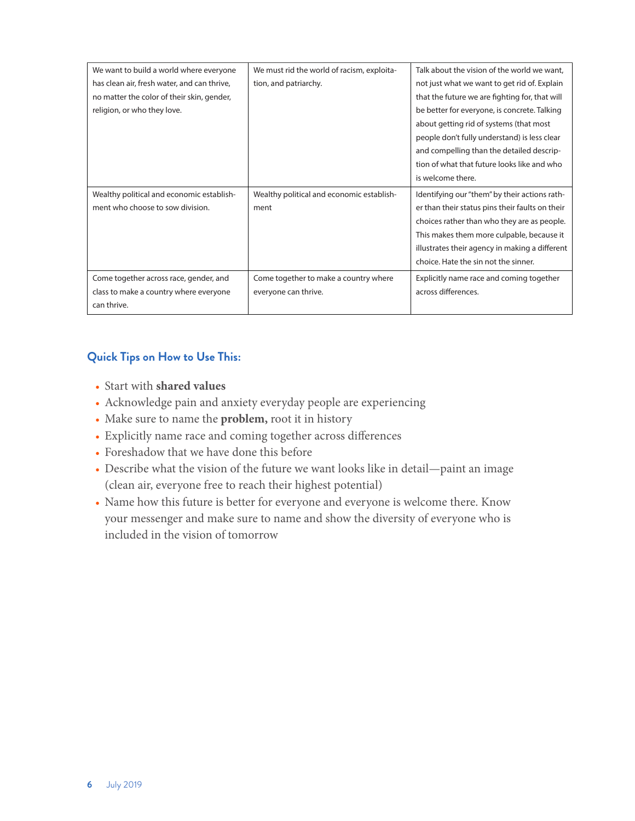| We want to build a world where everyone     | We must rid the world of racism, exploita- | Talk about the vision of the world we want.     |
|---------------------------------------------|--------------------------------------------|-------------------------------------------------|
| has clean air, fresh water, and can thrive, | tion, and patriarchy.                      | not just what we want to get rid of. Explain    |
| no matter the color of their skin, gender,  |                                            | that the future we are fighting for, that will  |
| religion, or who they love.                 |                                            | be better for everyone, is concrete. Talking    |
|                                             |                                            | about getting rid of systems (that most         |
|                                             |                                            | people don't fully understand) is less clear    |
|                                             |                                            | and compelling than the detailed descrip-       |
|                                             |                                            | tion of what that future looks like and who     |
|                                             |                                            | is welcome there.                               |
|                                             |                                            |                                                 |
| Wealthy political and economic establish-   | Wealthy political and economic establish-  | Identifying our "them" by their actions rath-   |
| ment who choose to sow division.            | ment                                       | er than their status pins their faults on their |
|                                             |                                            | choices rather than who they are as people.     |
|                                             |                                            | This makes them more culpable, because it       |
|                                             |                                            | illustrates their agency in making a different  |
|                                             |                                            | choice. Hate the sin not the sinner.            |
| Come together across race, gender, and      | Come together to make a country where      | Explicitly name race and coming together        |
| class to make a country where everyone      | everyone can thrive.                       | across differences.                             |
| can thrive.                                 |                                            |                                                 |

## **Quick Tips on How to Use This:**

- Start with **shared values**
- Acknowledge pain and anxiety everyday people are experiencing
- Make sure to name the **problem,** root it in history
- Explicitly name race and coming together across differences
- Foreshadow that we have done this before
- Describe what the vision of the future we want looks like in detail—paint an image (clean air, everyone free to reach their highest potential)
- Name how this future is better for everyone and everyone is welcome there. Know your messenger and make sure to name and show the diversity of everyone who is included in the vision of tomorrow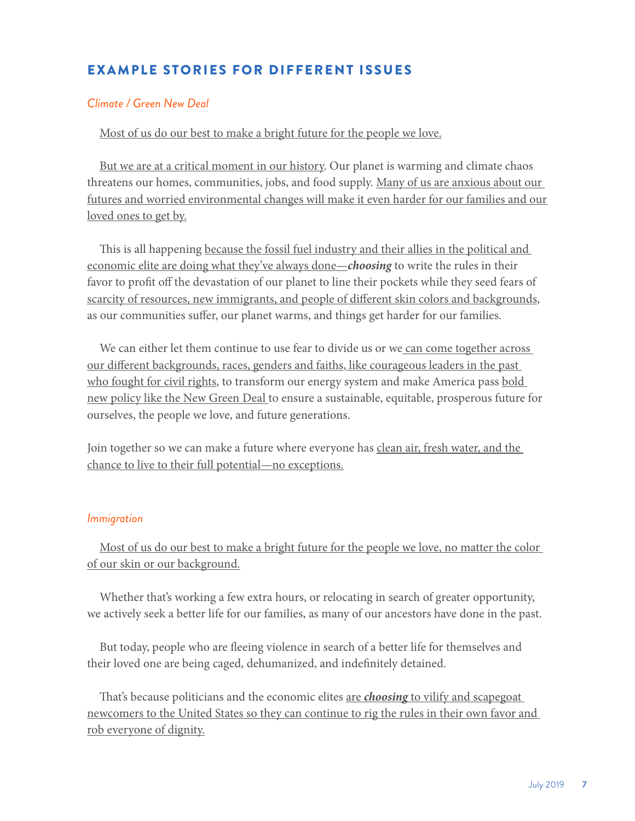## EXAMPLE STORIES FOR DIFFERENT ISSUES

#### *Climate / Green New Deal*

Most of us do our best to make a bright future for the people we love.

But we are at a critical moment in our history. Our planet is warming and climate chaos threatens our homes, communities, jobs, and food supply. Many of us are anxious about our futures and worried environmental changes will make it even harder for our families and our loved ones to get by.

This is all happening because the fossil fuel industry and their allies in the political and economic elite are doing what they've always done—*choosing* to write the rules in their favor to profit off the devastation of our planet to line their pockets while they seed fears of scarcity of resources, new immigrants, and people of different skin colors and backgrounds, as our communities suffer, our planet warms, and things get harder for our families.

We can either let them continue to use fear to divide us or we can come together across our different backgrounds, races, genders and faiths, like courageous leaders in the past who fought for civil rights, to transform our energy system and make America pass bold new policy like the New Green Deal to ensure a sustainable, equitable, prosperous future for ourselves, the people we love, and future generations.

Join together so we can make a future where everyone has clean air, fresh water, and the chance to live to their full potential—no exceptions.

## *Immigration*

Most of us do our best to make a bright future for the people we love, no matter the color of our skin or our background.

Whether that's working a few extra hours, or relocating in search of greater opportunity, we actively seek a better life for our families, as many of our ancestors have done in the past.

But today, people who are fleeing violence in search of a better life for themselves and their loved one are being caged, dehumanized, and indefinitely detained.

That's because politicians and the economic elites are *choosing* to vilify and scapegoat newcomers to the United States so they can continue to rig the rules in their own favor and rob everyone of dignity.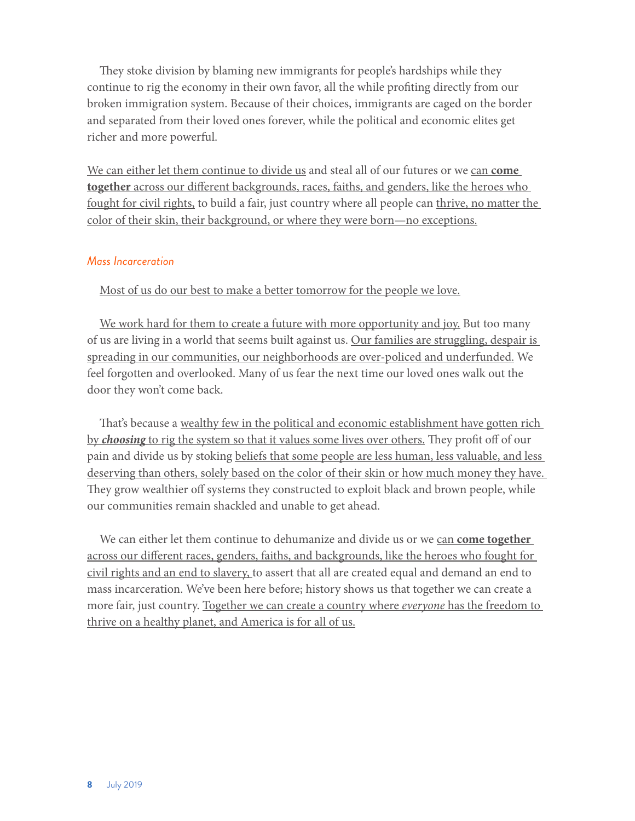They stoke division by blaming new immigrants for people's hardships while they continue to rig the economy in their own favor, all the while profiting directly from our broken immigration system. Because of their choices, immigrants are caged on the border and separated from their loved ones forever, while the political and economic elites get richer and more powerful.

We can either let them continue to divide us and steal all of our futures or we can **come together** across our different backgrounds, races, faiths, and genders, like the heroes who fought for civil rights, to build a fair, just country where all people can thrive, no matter the color of their skin, their background, or where they were born—no exceptions.

#### *Mass Incarceration*

Most of us do our best to make a better tomorrow for the people we love.

We work hard for them to create a future with more opportunity and joy. But too many of us are living in a world that seems built against us. Our families are struggling, despair is spreading in our communities, our neighborhoods are over-policed and underfunded. We feel forgotten and overlooked. Many of us fear the next time our loved ones walk out the door they won't come back.

That's because a wealthy few in the political and economic establishment have gotten rich by *choosing* to rig the system so that it values some lives over others. They profit off of our pain and divide us by stoking beliefs that some people are less human, less valuable, and less deserving than others, solely based on the color of their skin or how much money they have. They grow wealthier off systems they constructed to exploit black and brown people, while our communities remain shackled and unable to get ahead.

We can either let them continue to dehumanize and divide us or we can **come together** across our different races, genders, faiths, and backgrounds, like the heroes who fought for civil rights and an end to slavery, to assert that all are created equal and demand an end to mass incarceration. We've been here before; history shows us that together we can create a more fair, just country. Together we can create a country where *everyone* has the freedom to thrive on a healthy planet, and America is for all of us.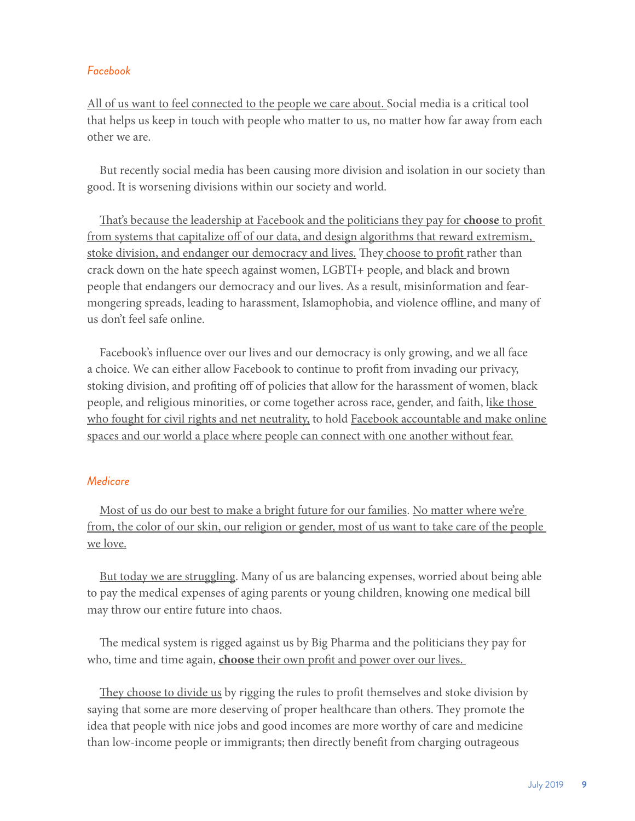## *Facebook*

All of us want to feel connected to the people we care about. Social media is a critical tool that helps us keep in touch with people who matter to us, no matter how far away from each other we are.

But recently social media has been causing more division and isolation in our society than good. It is worsening divisions within our society and world.

That's because the leadership at Facebook and the politicians they pay for **choose** to profit from systems that capitalize off of our data, and design algorithms that reward extremism, stoke division, and endanger our democracy and lives. They choose to profit rather than crack down on the hate speech against women, LGBTI+ people, and black and brown people that endangers our democracy and our lives. As a result, misinformation and fearmongering spreads, leading to harassment, Islamophobia, and violence offline, and many of us don't feel safe online.

Facebook's influence over our lives and our democracy is only growing, and we all face a choice. We can either allow Facebook to continue to profit from invading our privacy, stoking division, and profiting off of policies that allow for the harassment of women, black people, and religious minorities, or come together across race, gender, and faith, like those who fought for civil rights and net neutrality, to hold Facebook accountable and make online spaces and our world a place where people can connect with one another without fear.

#### *Medicare*

Most of us do our best to make a bright future for our families. No matter where we're from, the color of our skin, our religion or gender, most of us want to take care of the people we love.

But today we are struggling. Many of us are balancing expenses, worried about being able to pay the medical expenses of aging parents or young children, knowing one medical bill may throw our entire future into chaos.

The medical system is rigged against us by Big Pharma and the politicians they pay for who, time and time again, **choose** their own profit and power over our lives.

They choose to divide us by rigging the rules to profit themselves and stoke division by saying that some are more deserving of proper healthcare than others. They promote the idea that people with nice jobs and good incomes are more worthy of care and medicine than low-income people or immigrants; then directly benefit from charging outrageous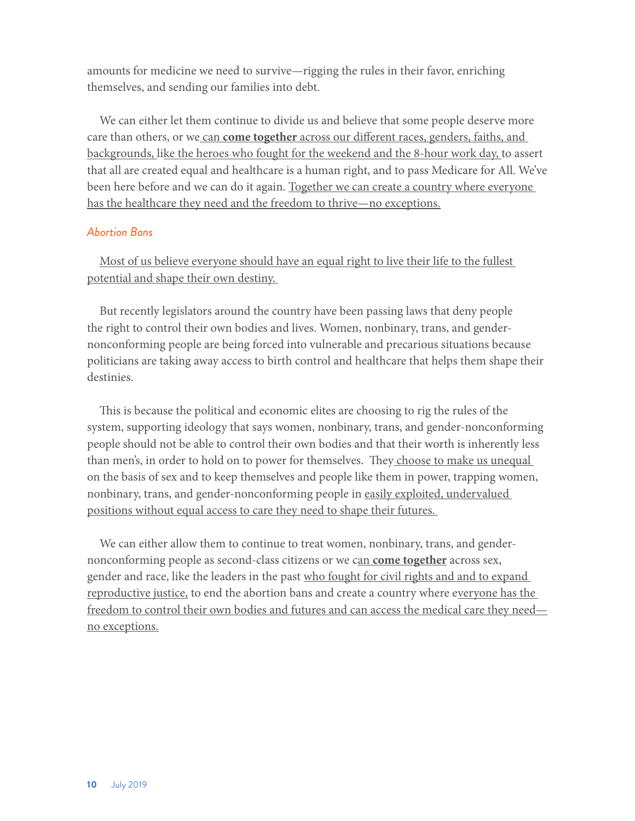amounts for medicine we need to survive—rigging the rules in their favor, enriching themselves, and sending our families into debt.

We can either let them continue to divide us and believe that some people deserve more care than others, or we can **come together** across our different races, genders, faiths, and backgrounds, like the heroes who fought for the weekend and the 8-hour work day, to assert that all are created equal and healthcare is a human right, and to pass Medicare for All. We've been here before and we can do it again. Together we can create a country where everyone has the healthcare they need and the freedom to thrive—no exceptions.

## *Abortion Bans*

Most of us believe everyone should have an equal right to live their life to the fullest potential and shape their own destiny.

But recently legislators around the country have been passing laws that deny people the right to control their own bodies and lives. Women, nonbinary, trans, and gendernonconforming people are being forced into vulnerable and precarious situations because politicians are taking away access to birth control and healthcare that helps them shape their destinies.

This is because the political and economic elites are choosing to rig the rules of the system, supporting ideology that says women, nonbinary, trans, and gender-nonconforming people should not be able to control their own bodies and that their worth is inherently less than men's, in order to hold on to power for themselves. They choose to make us unequal on the basis of sex and to keep themselves and people like them in power, trapping women, nonbinary, trans, and gender-nonconforming people in easily exploited, undervalued positions without equal access to care they need to shape their futures.

We can either allow them to continue to treat women, nonbinary, trans, and gendernonconforming people as second-class citizens or we can **come together** across sex, gender and race, like the leaders in the past who fought for civil rights and and to expand reproductive justice, to end the abortion bans and create a country where everyone has the freedom to control their own bodies and futures and can access the medical care they need no exceptions.